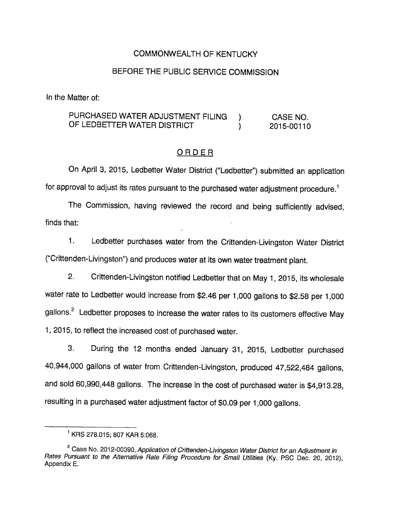## COMMONWEALTH OF KENTUCKY

## BEFORE THE PUBLIC SERVICE COMMISSION

In the Matter of:

## PURCHASED WATER ADJUSTMENT FILING ) CASE NO. OF LEDBETTER WATER DISTRICT  $(2015-00110$

#### ORDER

On April 3, 2015, Ledbetter Water District ("Ledbetter") submitted an application for approval to adjust its rates pursuant to the purchased water adjustment procedure.<sup>1</sup>

The Commission, having reviewed the record and being sufficiently advised, finds that:

1. Ledbetter purchases water from the Crittenden-Livingston Water District ("Crittenden-Livingston") and produces water at its own water treatment plant.

2. Crittenden-Livingston notified Ledbetter that on May 1, 2015, its wholesale water rate to Ledbetter would increase from \$2.46 per 1,000 gallons to \$2.58 per 1,000 gallons.<sup>2</sup> Ledbetter proposes to increase the water rates to its customers effective May 1, 2015, to reflect the increased cost of purchased water.

3. During the 12 months ended January 31, 2015, Ledbetter purchased 40,944,000 gailons of water from Crittenden-Livingston, produced 47,522,484 gallons, and sold 60,990,448 gallons. The increase in the cost of purchased water is \$4,913.28, resulting in a purchased water adjustment factor of \$0.09 per 1,000 gallons.

<sup>&</sup>lt;sup>1</sup> KRS 278.015; 807 KAR 5:068.

<sup>&</sup>lt;sup>2</sup> Case No. 2012-00390, Application of Crittenden-Livingston Water District for an Adjustment in Rates Pursuant to the Alternative Rate Filing Procedure for Small Utilities (Ky. PSC Dec. 20, 2012), Appendix E.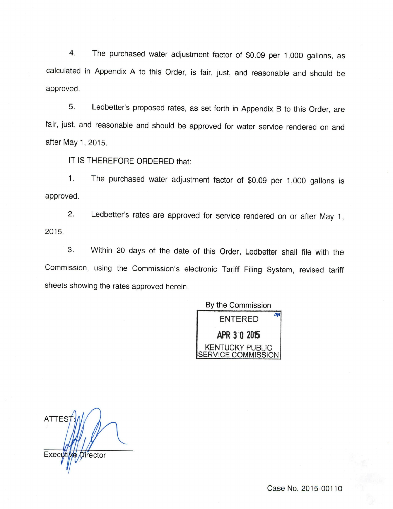4. The purchased water adjustment factor of \$0.09 per 1,000 gallons, as calculated in Appendix A to this Order, is fair, just, and reasonable and should be approved.

5. Ledbetter's proposed rates, as set forth in Appendix B to this Order, are fair, just, and reasonable and should be approved for water service rendered on and after May 1, 2015.

IT IS THEREFORE ORDERED that:

1. The purchased water adjustment factor of \$0.09 per 1,000 gallons is approved.

2. Ledbetter's rates are approved for service rendered on or after May 1, 2015.

3. Within 20 days of the date of this Order, Ledbetter shall file with the Commission, using the Commission's electronic Tariff Filing System, revised tariff sheets showing the rates approved herein.

By the Commission



**ATTES** Execy Director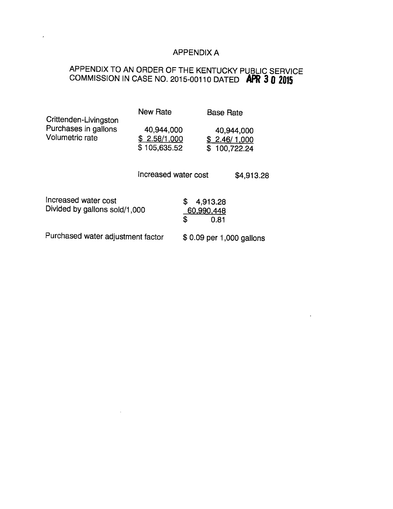# APPENDIX A

 $\langle \rangle$  .

# APPENDIX TO AN ORDER OF THE KENTUCKY PUBLIC SERVICE COMMISSION IN CASE NO. 2015-00110 DATED APR 3 0 2015

 $\mathcal{L}(\mathcal{A})$  and  $\mathcal{L}(\mathcal{A})$  . The set of  $\mathcal{L}(\mathcal{A})$ 

| Crittenden-Livingston<br>Purchases in gallons<br>Volumetric rate | <b>New Rate</b><br>40,944,000 |                                            | <b>Base Rate</b><br>40,944,000 |
|------------------------------------------------------------------|-------------------------------|--------------------------------------------|--------------------------------|
|                                                                  | \$2.58/1,000<br>\$105,635.52  |                                            | \$2.46/1,000<br>\$100,722.24   |
|                                                                  | Increased water cost          |                                            | \$4,913.28                     |
| Increased water cost<br>Divided by gallons sold/1,000            |                               | \$<br>4,913.28<br>60,990,448<br>\$<br>0.81 |                                |
| Purchased water adjustment factor                                |                               | \$0.09 per 1,000 gallons                   |                                |

and the state of the state of the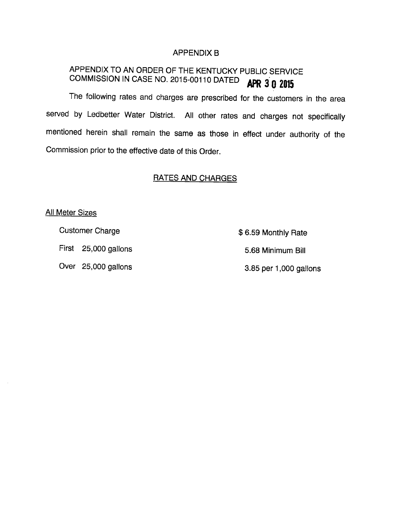### APPENDIX B

# APPENDIX TO AN ORDER OF THE KENTUCKY PUBLIC SERVICE COMMISSION IN CASE NO. 2015-00110 DATED  $APR$  3 0 2015

The following rates and charges are prescribed for the customers in the area served by Ledbetter Water District. All other rates and charges not specifically mentioned herein shall remain the same as those in effect under authority of the Commission prior to the effective date of this Order.

# RATES AND CHARGES

#### **All Meter Sizes**

Customer Charge **\$ 6.59 Monthly Rate** 

Over 25,000 gallons 3.85 per 1,000 gallons

First 25,000 gallons 5.68 Minimum Bill